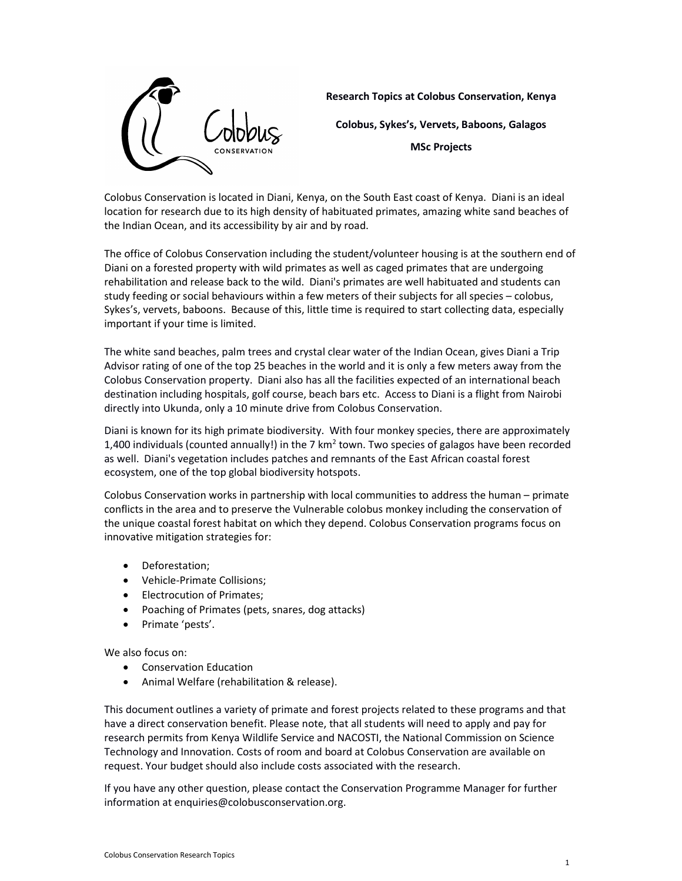

Research Topics at Colobus Conservation, Kenya

Colobus, Sykes's, Vervets, Baboons, Galagos

MSc Projects

Colobus Conservation is located in Diani, Kenya, on the South East coast of Kenya. Diani is an ideal location for research due to its high density of habituated primates, amazing white sand beaches of the Indian Ocean, and its accessibility by air and by road.

The office of Colobus Conservation including the student/volunteer housing is at the southern end of Diani on a forested property with wild primates as well as caged primates that are undergoing rehabilitation and release back to the wild. Diani's primates are well habituated and students can study feeding or social behaviours within a few meters of their subjects for all species – colobus, Sykes's, vervets, baboons. Because of this, little time is required to start collecting data, especially important if your time is limited.

The white sand beaches, palm trees and crystal clear water of the Indian Ocean, gives Diani a Trip Advisor rating of one of the top 25 beaches in the world and it is only a few meters away from the Colobus Conservation property. Diani also has all the facilities expected of an international beach destination including hospitals, golf course, beach bars etc. Access to Diani is a flight from Nairobi directly into Ukunda, only a 10 minute drive from Colobus Conservation.

Diani is known for its high primate biodiversity. With four monkey species, there are approximately 1,400 individuals (counted annually!) in the 7 km<sup>2</sup> town. Two species of galagos have been recorded as well. Diani's vegetation includes patches and remnants of the East African coastal forest ecosystem, one of the top global biodiversity hotspots.

Colobus Conservation works in partnership with local communities to address the human – primate conflicts in the area and to preserve the Vulnerable colobus monkey including the conservation of the unique coastal forest habitat on which they depend. Colobus Conservation programs focus on innovative mitigation strategies for:

- Deforestation;
- Vehicle-Primate Collisions;
- Electrocution of Primates:
- Poaching of Primates (pets, snares, dog attacks)
- Primate 'pests'.

We also focus on:

- Conservation Education
- Animal Welfare (rehabilitation & release).

This document outlines a variety of primate and forest projects related to these programs and that have a direct conservation benefit. Please note, that all students will need to apply and pay for research permits from Kenya Wildlife Service and NACOSTI, the National Commission on Science Technology and Innovation. Costs of room and board at Colobus Conservation are available on request. Your budget should also include costs associated with the research.

If you have any other question, please contact the Conservation Programme Manager for further information at enquiries@colobusconservation.org.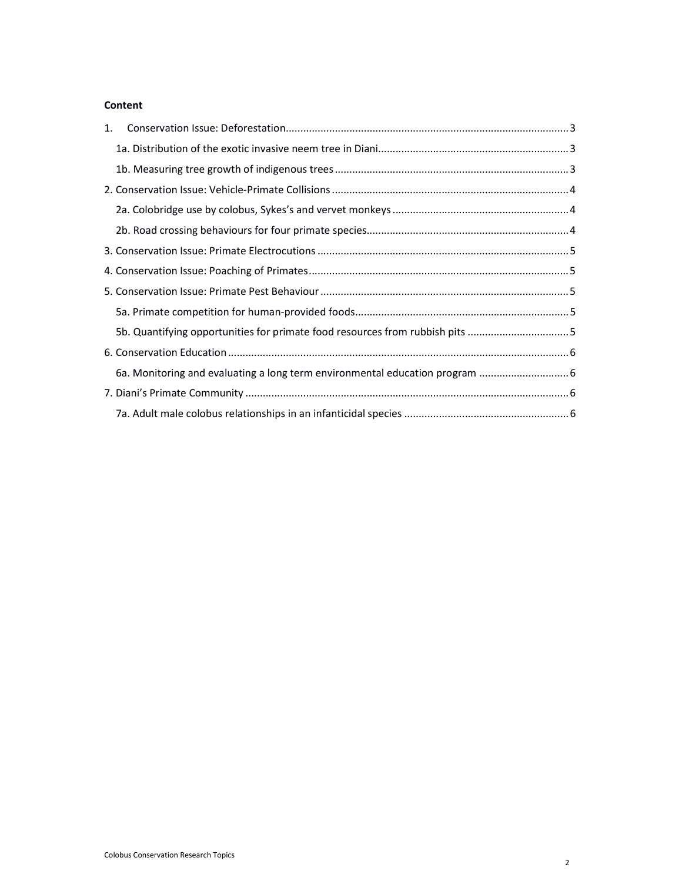### Content

| 1. |                                                                              |  |
|----|------------------------------------------------------------------------------|--|
|    |                                                                              |  |
|    |                                                                              |  |
|    |                                                                              |  |
|    |                                                                              |  |
|    |                                                                              |  |
|    |                                                                              |  |
|    |                                                                              |  |
|    |                                                                              |  |
|    |                                                                              |  |
|    | 5b. Quantifying opportunities for primate food resources from rubbish pits 5 |  |
|    |                                                                              |  |
|    | 6a. Monitoring and evaluating a long term environmental education program  6 |  |
|    |                                                                              |  |
|    |                                                                              |  |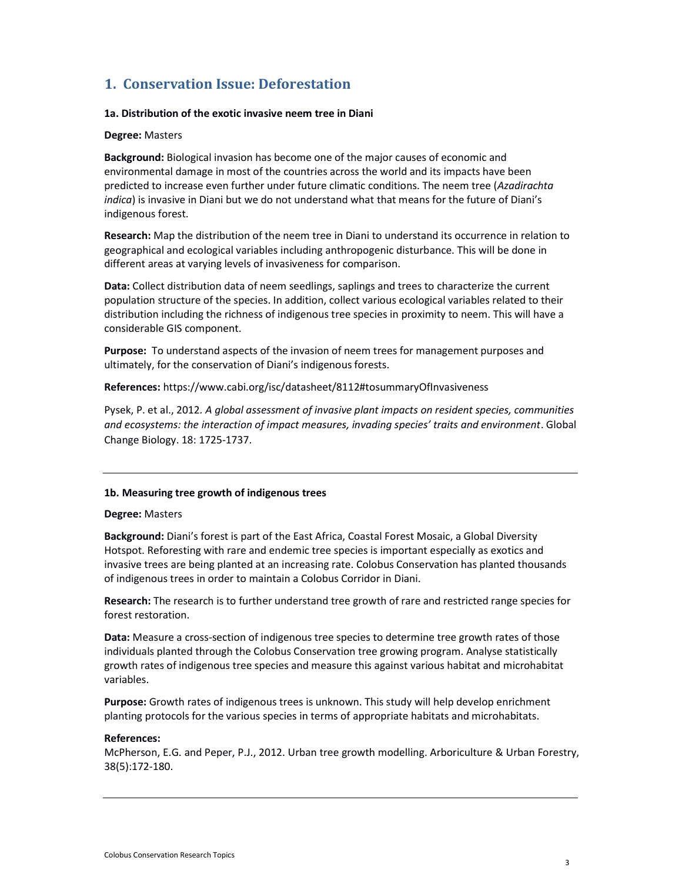## 1. Conservation Issue: Deforestation

### 1a. Distribution of the exotic invasive neem tree in Diani

### Degree: Masters

Background: Biological invasion has become one of the major causes of economic and environmental damage in most of the countries across the world and its impacts have been predicted to increase even further under future climatic conditions. The neem tree (Azadirachta indica) is invasive in Diani but we do not understand what that means for the future of Diani's indigenous forest.

Research: Map the distribution of the neem tree in Diani to understand its occurrence in relation to geographical and ecological variables including anthropogenic disturbance. This will be done in different areas at varying levels of invasiveness for comparison.

Data: Collect distribution data of neem seedlings, saplings and trees to characterize the current population structure of the species. In addition, collect various ecological variables related to their distribution including the richness of indigenous tree species in proximity to neem. This will have a considerable GIS component.

Purpose: To understand aspects of the invasion of neem trees for management purposes and ultimately, for the conservation of Diani's indigenous forests.

References: https://www.cabi.org/isc/datasheet/8112#tosummaryOfInvasiveness

Pysek, P. et al., 2012. A global assessment of invasive plant impacts on resident species, communities and ecosystems: the interaction of impact measures, invading species' traits and environment. Global Change Biology. 18: 1725-1737.

### 1b. Measuring tree growth of indigenous trees

### Degree: Masters

Background: Diani's forest is part of the East Africa, Coastal Forest Mosaic, a Global Diversity Hotspot. Reforesting with rare and endemic tree species is important especially as exotics and invasive trees are being planted at an increasing rate. Colobus Conservation has planted thousands of indigenous trees in order to maintain a Colobus Corridor in Diani.

Research: The research is to further understand tree growth of rare and restricted range species for forest restoration.

Data: Measure a cross-section of indigenous tree species to determine tree growth rates of those individuals planted through the Colobus Conservation tree growing program. Analyse statistically growth rates of indigenous tree species and measure this against various habitat and microhabitat variables.

Purpose: Growth rates of indigenous trees is unknown. This study will help develop enrichment planting protocols for the various species in terms of appropriate habitats and microhabitats.

### References:

McPherson, E.G. and Peper, P.J., 2012. Urban tree growth modelling. Arboriculture & Urban Forestry, 38(5):172-180.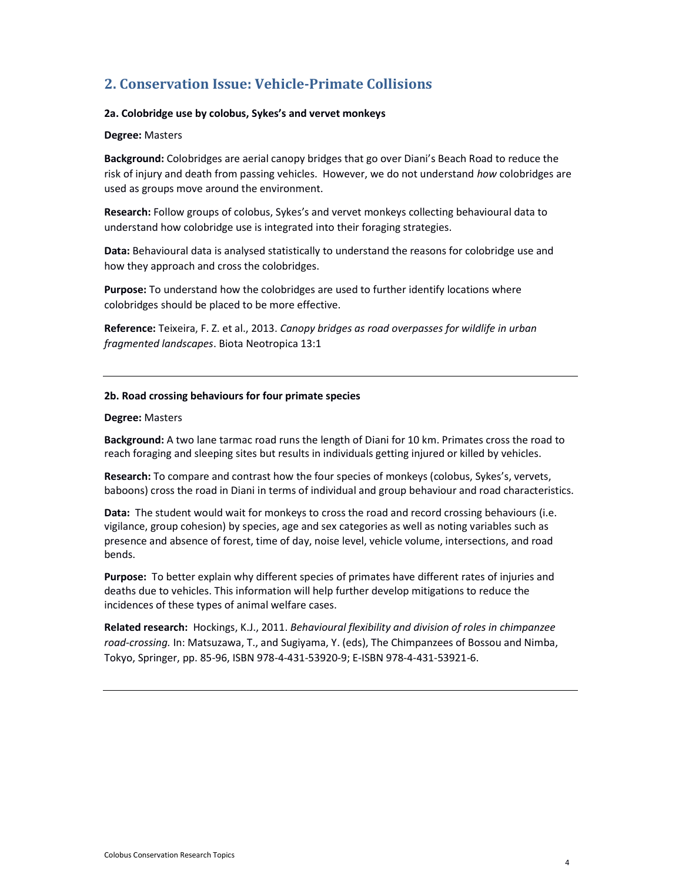# 2. Conservation Issue: Vehicle-Primate Collisions

### 2a. Colobridge use by colobus, Sykes's and vervet monkeys

### Degree: Masters

Background: Colobridges are aerial canopy bridges that go over Diani's Beach Road to reduce the risk of injury and death from passing vehicles. However, we do not understand how colobridges are used as groups move around the environment.

Research: Follow groups of colobus, Sykes's and vervet monkeys collecting behavioural data to understand how colobridge use is integrated into their foraging strategies.

Data: Behavioural data is analysed statistically to understand the reasons for colobridge use and how they approach and cross the colobridges.

Purpose: To understand how the colobridges are used to further identify locations where colobridges should be placed to be more effective.

Reference: Teixeira, F. Z. et al., 2013. Canopy bridges as road overpasses for wildlife in urban fragmented landscapes. Biota Neotropica 13:1

### 2b. Road crossing behaviours for four primate species

### Degree: Masters

Background: A two lane tarmac road runs the length of Diani for 10 km. Primates cross the road to reach foraging and sleeping sites but results in individuals getting injured or killed by vehicles.

Research: To compare and contrast how the four species of monkeys (colobus, Sykes's, vervets, baboons) cross the road in Diani in terms of individual and group behaviour and road characteristics.

Data: The student would wait for monkeys to cross the road and record crossing behaviours (i.e. vigilance, group cohesion) by species, age and sex categories as well as noting variables such as presence and absence of forest, time of day, noise level, vehicle volume, intersections, and road bends.

Purpose: To better explain why different species of primates have different rates of injuries and deaths due to vehicles. This information will help further develop mitigations to reduce the incidences of these types of animal welfare cases.

Related research: Hockings, K.J., 2011. Behavioural flexibility and division of roles in chimpanzee road-crossing. In: Matsuzawa, T., and Sugiyama, Y. (eds), The Chimpanzees of Bossou and Nimba, Tokyo, Springer, pp. 85-96, ISBN 978-4-431-53920-9; E-ISBN 978-4-431-53921-6.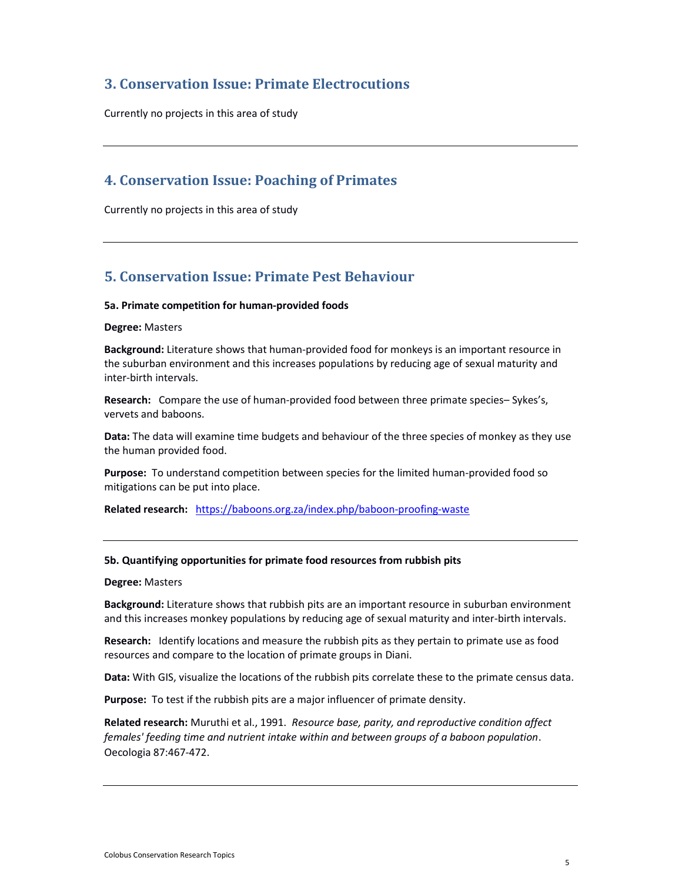## 3. Conservation Issue: Primate Electrocutions

Currently no projects in this area of study

### 4. Conservation Issue: Poaching of Primates

Currently no projects in this area of study

## 5. Conservation Issue: Primate Pest Behaviour

### 5a. Primate competition for human-provided foods

### Degree: Masters

Background: Literature shows that human-provided food for monkeys is an important resource in the suburban environment and this increases populations by reducing age of sexual maturity and inter-birth intervals.

Research: Compare the use of human-provided food between three primate species– Sykes's, vervets and baboons.

Data: The data will examine time budgets and behaviour of the three species of monkey as they use the human provided food.

Purpose: To understand competition between species for the limited human-provided food so mitigations can be put into place.

Related research: https://baboons.org.za/index.php/baboon-proofing-waste

### 5b. Quantifying opportunities for primate food resources from rubbish pits

#### Degree: Masters

Background: Literature shows that rubbish pits are an important resource in suburban environment and this increases monkey populations by reducing age of sexual maturity and inter-birth intervals.

Research: Identify locations and measure the rubbish pits as they pertain to primate use as food resources and compare to the location of primate groups in Diani.

Data: With GIS, visualize the locations of the rubbish pits correlate these to the primate census data.

Purpose: To test if the rubbish pits are a major influencer of primate density.

Related research: Muruthi et al., 1991. Resource base, parity, and reproductive condition affect females' feeding time and nutrient intake within and between groups of a baboon population. Oecologia 87:467-472.